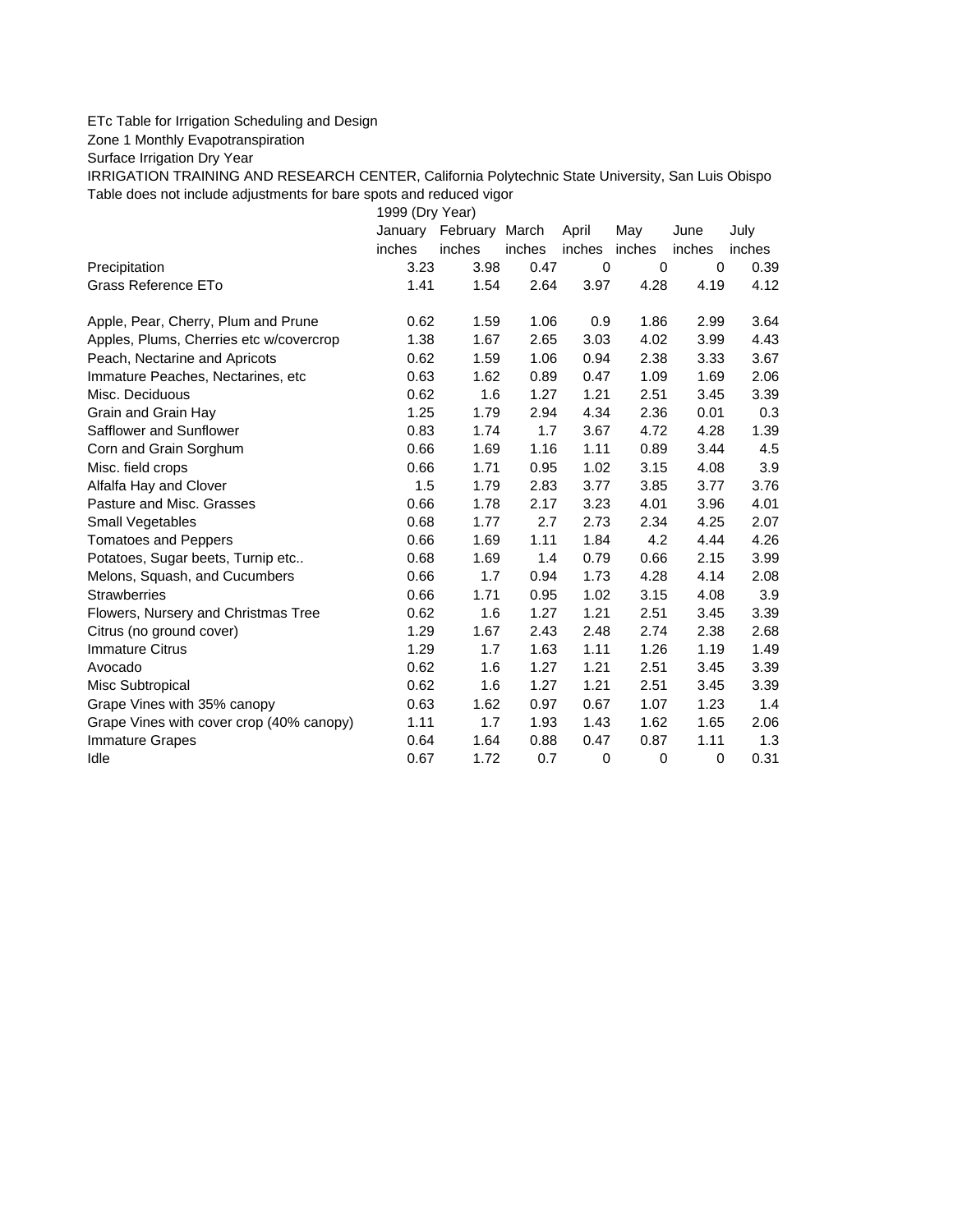## ETc Table for Irrigation Scheduling and Design

Zone 1 Monthly Evapotranspiration

Surface Irrigation Dry Year

IRRIGATION TRAINING AND RESEARCH CENTER, California Polytechnic State University, San Luis Obispo Table does not include adjustments for bare spots and reduced vigor

1999 (Dry Year)

|                                          | January | February | March  | April  | May    | June        | July   |
|------------------------------------------|---------|----------|--------|--------|--------|-------------|--------|
|                                          | inches  | inches   | inches | inches | inches | inches      | inches |
| Precipitation                            | 3.23    | 3.98     | 0.47   | 0      | 0      | $\mathbf 0$ | 0.39   |
| Grass Reference ETo                      | 1.41    | 1.54     | 2.64   | 3.97   | 4.28   | 4.19        | 4.12   |
| Apple, Pear, Cherry, Plum and Prune      | 0.62    | 1.59     | 1.06   | 0.9    | 1.86   | 2.99        | 3.64   |
| Apples, Plums, Cherries etc w/covercrop  | 1.38    | 1.67     | 2.65   | 3.03   | 4.02   | 3.99        | 4.43   |
| Peach, Nectarine and Apricots            | 0.62    | 1.59     | 1.06   | 0.94   | 2.38   | 3.33        | 3.67   |
| Immature Peaches, Nectarines, etc        | 0.63    | 1.62     | 0.89   | 0.47   | 1.09   | 1.69        | 2.06   |
| Misc. Deciduous                          | 0.62    | 1.6      | 1.27   | 1.21   | 2.51   | 3.45        | 3.39   |
| Grain and Grain Hay                      | 1.25    | 1.79     | 2.94   | 4.34   | 2.36   | 0.01        | 0.3    |
| Safflower and Sunflower                  | 0.83    | 1.74     | 1.7    | 3.67   | 4.72   | 4.28        | 1.39   |
| Corn and Grain Sorghum                   | 0.66    | 1.69     | 1.16   | 1.11   | 0.89   | 3.44        | 4.5    |
| Misc. field crops                        | 0.66    | 1.71     | 0.95   | 1.02   | 3.15   | 4.08        | 3.9    |
| Alfalfa Hay and Clover                   | 1.5     | 1.79     | 2.83   | 3.77   | 3.85   | 3.77        | 3.76   |
| Pasture and Misc. Grasses                | 0.66    | 1.78     | 2.17   | 3.23   | 4.01   | 3.96        | 4.01   |
| Small Vegetables                         | 0.68    | 1.77     | 2.7    | 2.73   | 2.34   | 4.25        | 2.07   |
| <b>Tomatoes and Peppers</b>              | 0.66    | 1.69     | 1.11   | 1.84   | 4.2    | 4.44        | 4.26   |
| Potatoes, Sugar beets, Turnip etc        | 0.68    | 1.69     | 1.4    | 0.79   | 0.66   | 2.15        | 3.99   |
| Melons, Squash, and Cucumbers            | 0.66    | 1.7      | 0.94   | 1.73   | 4.28   | 4.14        | 2.08   |
| <b>Strawberries</b>                      | 0.66    | 1.71     | 0.95   | 1.02   | 3.15   | 4.08        | 3.9    |
| Flowers, Nursery and Christmas Tree      | 0.62    | 1.6      | 1.27   | 1.21   | 2.51   | 3.45        | 3.39   |
| Citrus (no ground cover)                 | 1.29    | 1.67     | 2.43   | 2.48   | 2.74   | 2.38        | 2.68   |
| <b>Immature Citrus</b>                   | 1.29    | 1.7      | 1.63   | 1.11   | 1.26   | 1.19        | 1.49   |
| Avocado                                  | 0.62    | 1.6      | 1.27   | 1.21   | 2.51   | 3.45        | 3.39   |
| Misc Subtropical                         | 0.62    | 1.6      | 1.27   | 1.21   | 2.51   | 3.45        | 3.39   |
| Grape Vines with 35% canopy              | 0.63    | 1.62     | 0.97   | 0.67   | 1.07   | 1.23        | 1.4    |
| Grape Vines with cover crop (40% canopy) | 1.11    | 1.7      | 1.93   | 1.43   | 1.62   | 1.65        | 2.06   |
| <b>Immature Grapes</b>                   | 0.64    | 1.64     | 0.88   | 0.47   | 0.87   | 1.11        | 1.3    |
| Idle                                     | 0.67    | 1.72     | 0.7    | 0      | 0      | 0           | 0.31   |